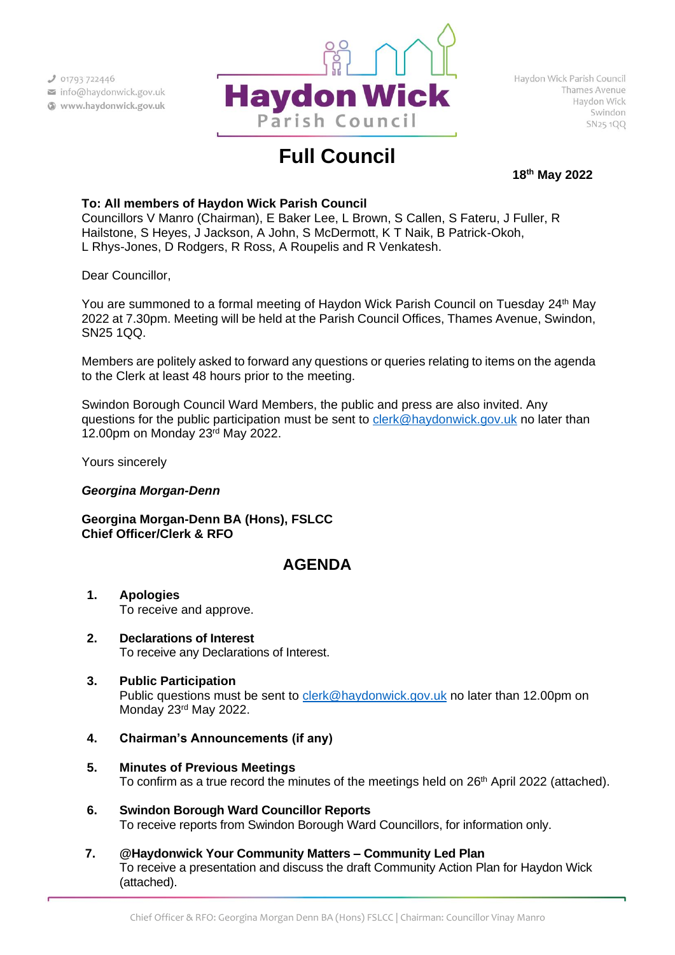

# **Full Council**

**18th May 2022**

# **To: All members of Haydon Wick Parish Council**

Councillors V Manro (Chairman), E Baker Lee, L Brown, S Callen, S Fateru, J Fuller, R Hailstone, S Heyes, J Jackson, A John, S McDermott, K T Naik, B Patrick-Okoh, L Rhys-Jones, D Rodgers, R Ross, A Roupelis and R Venkatesh.

Dear Councillor,

You are summoned to a formal meeting of Haydon Wick Parish Council on Tuesday 24<sup>th</sup> May 2022 at 7.30pm. Meeting will be held at the Parish Council Offices, Thames Avenue, Swindon, SN25 1QQ.

Members are politely asked to forward any questions or queries relating to items on the agenda to the Clerk at least 48 hours prior to the meeting.

Swindon Borough Council Ward Members, the public and press are also invited. Any questions for the public participation must be sent to [clerk@haydonwick.gov.uk](mailto:clerk@haydonwick.gov.uk) no later than 12.00pm on Monday 23 rd May 2022.

Yours sincerely

# *Georgina Morgan-Denn*

**Georgina Morgan-Denn BA (Hons), FSLCC Chief Officer/Clerk & RFO**

# **AGENDA**

- **1. Apologies** To receive and approve.
- **2. Declarations of Interest** To receive any Declarations of Interest.
- **3. Public Participation** Public questions must be sent to [clerk@haydonwick.gov.uk](mailto:clerk@haydonwick.gov.uk) no later than 12.00pm on Monday 23<sup>rd</sup> May 2022.
- **4. Chairman's Announcements (if any)**
- **5. Minutes of Previous Meetings** To confirm as a true record the minutes of the meetings held on 26<sup>th</sup> April 2022 (attached).
- **6. Swindon Borough Ward Councillor Reports** To receive reports from Swindon Borough Ward Councillors, for information only.
- **7. @Haydonwick Your Community Matters – Community Led Plan** To receive a presentation and discuss the draft Community Action Plan for Haydon Wick (attached).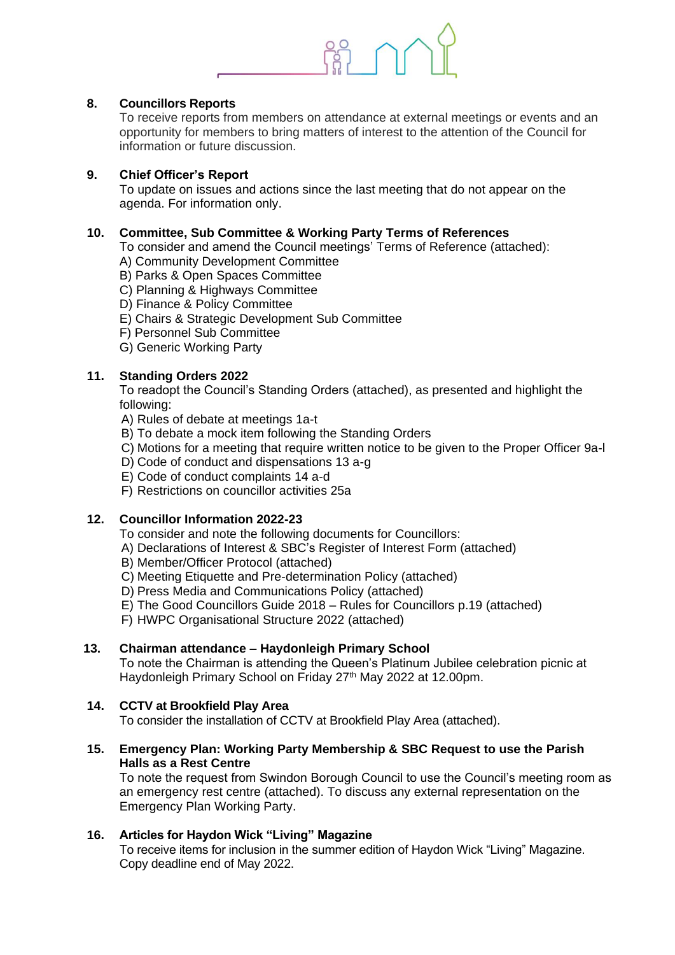

# **8. Councillors Reports**

To receive reports from members on attendance at external meetings or events and an opportunity for members to bring matters of interest to the attention of the Council for information or future discussion.

# **9. Chief Officer's Report**

To update on issues and actions since the last meeting that do not appear on the agenda. For information only.

# **10. Committee, Sub Committee & Working Party Terms of References**

To consider and amend the Council meetings' Terms of Reference (attached):

- A) Community Development Committee
- B) Parks & Open Spaces Committee
- C) Planning & Highways Committee
- D) Finance & Policy Committee
- E) Chairs & Strategic Development Sub Committee
- F) Personnel Sub Committee
- G) Generic Working Party

# **11. Standing Orders 2022**

To readopt the Council's Standing Orders (attached), as presented and highlight the following:

A) Rules of debate at meetings 1a-t

- B) To debate a mock item following the Standing Orders
- C) Motions for a meeting that require written notice to be given to the Proper Officer 9a-l
- D) Code of conduct and dispensations 13 a-g
- E) Code of conduct complaints 14 a-d
- F) Restrictions on councillor activities 25a

#### **12. Councillor Information 2022-23**

To consider and note the following documents for Councillors:

- A) Declarations of Interest & SBC's Register of Interest Form (attached)
- B) Member/Officer Protocol (attached)
- C) Meeting Etiquette and Pre-determination Policy (attached)
- D) Press Media and Communications Policy (attached)
- E) The Good Councillors Guide 2018 Rules for Councillors p.19 (attached)

F) HWPC Organisational Structure 2022 (attached)

#### **13. Chairman attendance – Haydonleigh Primary School**

To note the Chairman is attending the Queen's Platinum Jubilee celebration picnic at Haydonleigh Primary School on Friday 27<sup>th</sup> May 2022 at 12.00pm.

# **14. CCTV at Brookfield Play Area**

To consider the installation of CCTV at Brookfield Play Area (attached).

# **15. Emergency Plan: Working Party Membership & SBC Request to use the Parish Halls as a Rest Centre**

To note the request from Swindon Borough Council to use the Council's meeting room as an emergency rest centre (attached). To discuss any external representation on the Emergency Plan Working Party.

# **16. Articles for Haydon Wick "Living" Magazine**

To receive items for inclusion in the summer edition of Haydon Wick "Living" Magazine. Copy deadline end of May 2022.